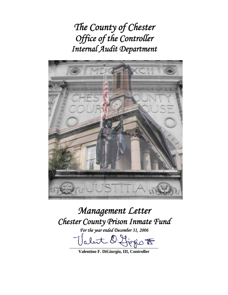*The County of Chester Office of the Controller Internal Audit Department*



# *Management Letter Chester County Prison Inmate Fund*

*For the year ended December 31, 2006* 

abut D. firsio F

**Valentino F. DiGiorgio, III, Controller**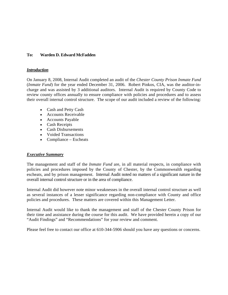## **To: Warden D. Edward McFadden**

#### *Introduction*

On January 8, 2008, Internal Audit completed an audit of the *Chester County Prison Inmate Fund* (*Inmate Fund*) for the year ended December 31, 2006. Robert Pinkos, CIA, was the auditor-incharge and was assisted by 3 additional auditors. Internal Audit is required by County Code to review county offices annually to ensure compliance with policies and procedures and to assess their overall internal control structure. The scope of our audit included a review of the following:

- Cash and Petty Cash
- Accounts Receivable
- Accounts Payable
- Cash Receipts
- Cash Disbursements
- Voided Transactions
- Compliance Escheats

#### *Executive Summary*

The management and staff of the *Inmate Fund* are, in all material respects, in compliance with policies and procedures imposed by the County of Chester, by the Commonwealth regarding escheats, and by prison management. Internal Audit noted no matters of a significant nature in the overall internal control structure or in the area of compliance.

Internal Audit did however note minor weaknesses in the overall internal control structure as well as several instances of a lesser significance regarding non-compliance with County and office policies and procedures. These matters are covered within this Management Letter.

Internal Audit would like to thank the management and staff of the Chester County Prison for their time and assistance during the course for this audit. We have provided herein a copy of our "Audit Findings" and "Recommendations" for your review and comment.

Please feel free to contact our office at 610-344-5906 should you have any questions or concerns.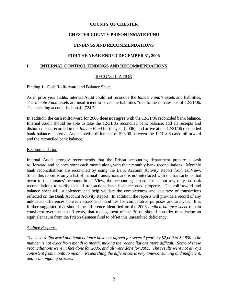# **CHESTER COUNTY PRISON INMATE FUND**

# **FINDINGS AND RECOMMENDATIONS**

## **FOR THE YEAR ENDED DECEMBER 31, 2006**

## **I. INTERNAL CONTROL FINDINGS AND RECOMMENDATIONS**

## RECONCILIATION

### Finding 1: Cash Rollforward and Balance Sheet

As in prior year audits, Internal Audit could not reconcile the *Inmate Fund's* assets and liabilities. The *Inmate Fund* assets are insufficient to cover the liabilities "due to the inmates" as of 12/31/06. The checking account is short \$2,724.72.

In addition, the cash rollforward for 2006 **does not** agree with the 12/31/06 reconciled bank balance. Internal Audit should be able to take the 12/31/05 reconciled bank balance, add all receipts and disbursements recorded in the *Inmate Fund* for the year (2006), and arrive at the 12/31/06 reconciled bank balance. Internal Audit noted a difference of \$28.00 between the 12/31/06 cash rollforward and the reconciled bank balance.

#### **Recommendation**

Internal Audit strongly recommends that the Prison accounting department prepare a cash rollforward and balance sheet each month along with their monthly bank reconciliations. Monthly bank reconciliations are reconciled by using the Bank Account Activity Report from JailView. Since this report is only a list of manual transactions and is not interfaced with the transactions that occur to the Inmates' accounts in JailView, the accounting department cannot rely only on bank reconciliations to verify that all transactions have been recorded properly. The rollforward and balance sheet will supplement and help validate the completeness and accuracy of transactions reflected on the Bank Account Activity Report. In addition, the reports will provide a record of any unlocated differences between assets and liabilities for comparative purposes and analysis. It is further suggested that should the difference identified on the 2006 *audited balance sheet* remain consistent over the next 3 years, that management of the Prison should consider transferring an equivalent sum from the Prison Canteen fund to offset this unresolved deficiency.

## *Auditee Response*

*The cash rollforward and bank balance have not agreed for several years by \$2,000 to \$2,800. The number is not exact from month to month, making the reconciliations more difficult. Some of these reconciliations were in fact done for 2006, and all were done for 2005. The results were not always consistent from month to month. Researching the differences is very time-consuming and inefficient, and is an ongoing process.*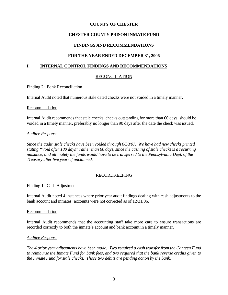# **CHESTER COUNTY PRISON INMATE FUND**

# **FINDINGS AND RECOMMENDATIONS**

## **FOR THE YEAR ENDED DECEMBER 31, 2006**

## **I. INTERNAL CONTROL FINDINGS AND RECOMMENDATIONS**

## RECONCILIATION

#### Finding 2: Bank Reconciliation

Internal Audit noted that numerous stale dated checks were not voided in a timely manner.

#### Recommendation

Internal Audit recommends that stale checks, checks outstanding for more than 60 days, should be voided in a timely manner, preferably no longer than 90 days after the date the check was issued.

#### *Auditee Response*

*Since the audit, stale checks have been voided through 6/30/07. We have had new checks printed stating "Void after 180 days" rather than 60 days, since the cashing of stale checks is a recurring nuisance, and ultimately the funds would have to be transferred to the Pennsylvania Dept. of the Treasury after five years if unclaimed.* 

## RECORDKEEPING

#### Finding 1: Cash Adjustments

Internal Audit noted 4 instances where prior year audit findings dealing with cash adjustments to the bank account and inmates' accounts were not corrected as of 12/31/06.

#### Recommendation

Internal Audit recommends that the accounting staff take more care to ensure transactions are recorded correctly to both the inmate's account and bank account in a timely manner.

#### *Auditee Response*

*The 4 prior year adjustments have been made. Two required a cash transfer from the Canteen Fund to reimburse the Inmate Fund for bank fees, and two required that the bank reverse credits given to the Inmate Fund for stale checks. Those two debits are pending action by the bank.*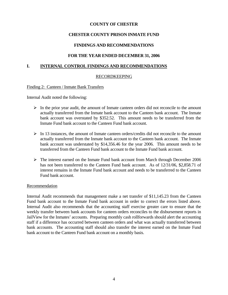# **CHESTER COUNTY PRISON INMATE FUND**

## **FINDINGS AND RECOMMENDATIONS**

## **FOR THE YEAR ENDED DECEMBER 31, 2006**

## **I. INTERNAL CONTROL FINDINGS AND RECOMMENDATIONS**

### RECORDKEEPING

#### Finding 2: Canteen / Inmate Bank Transfers

Internal Audit noted the following:

- $\triangleright$  In the prior year audit, the amount of Inmate canteen orders did not reconcile to the amount actually transferred from the Inmate bank account to the Canteen bank account. The Inmate bank account was overstated by \$352.52. This amount needs to be transferred from the Inmate Fund bank account to the Canteen Fund bank account.
- $\triangleright$  In 13 instances, the amount of Inmate canteen orders/credits did not reconcile to the amount actually transferred from the Inmate bank account to the Canteen bank account. The Inmate bank account was understated by \$14,356.46 for the year 2006. This amount needs to be transferred from the Canteen Fund bank account to the Inmate Fund bank account.
- ¾ The interest earned on the Inmate Fund bank account from March through December 2006 has not been transferred to the Canteen Fund bank account. As of 12/31/06, \$2,858.71 of interest remains in the Inmate Fund bank account and needs to be transferred to the Canteen Fund bank account.

#### Recommendation

Internal Audit recommends that management make a net transfer of \$11,145.23 from the Canteen Fund bank account to the Inmate Fund bank account in order to correct the errors listed above. Internal Audit also recommends that the accounting staff exercise greater care to ensure that the weekly transfer between bank accounts for canteen orders reconciles to the disbursement reports in JailView for the Inmates' accounts. Preparing monthly cash rollforwards should alert the accounting staff if a difference has occurred between canteen orders and what was actually transferred between bank accounts. The accounting staff should also transfer the interest earned on the Inmate Fund bank account to the Canteen Fund bank account on a monthly basis.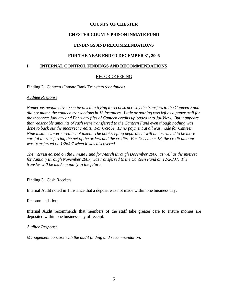# **CHESTER COUNTY PRISON INMATE FUND**

# **FINDINGS AND RECOMMENDATIONS**

## **FOR THE YEAR ENDED DECEMBER 31, 2006**

### **I. INTERNAL CONTROL FINDINGS AND RECOMMENDATIONS**

## RECORDKEEPING

#### Finding 2: Canteen / Inmate Bank Transfers *(continued)*

#### *Auditee Response*

*Numerous people have been involved in trying to reconstruct why the transfers to the Canteen Fund did not match the canteen transactions in 13 instances. Little or nothing was left as a paper trail for the incorrect January and February files of Canteen credits uploaded into JailView. But it appears that reasonable amounts of cash were transferred to the Canteen Fund even though nothing was done to back out the incorrect credits. For October 13 no payment at all was made for Canteen. Nine instances were credits not taken. The bookkeeping department will be instructed to be more careful in transferring the net of the orders and the credits. For December 18, the credit amount was transferred on 1/26/07 when it was discovered.* 

*The interest earned on the Inmate Fund for March through December 2006, as well as the interest for January through November 2007, was transferred to the Canteen Fund on 12/26/07. The transfer will be made monthly in the future.* 

#### Finding 3: Cash Receipts

Internal Audit noted in 1 instance that a deposit was not made within one business day.

#### Recommendation

Internal Audit recommends that members of the staff take greater care to ensure monies are deposited within one business day of receipt.

#### *Auditee Response*

*Management concurs with the audit finding and recommendation*.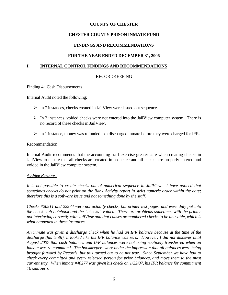# **CHESTER COUNTY PRISON INMATE FUND**

# **FINDINGS AND RECOMMENDATIONS**

## **FOR THE YEAR ENDED DECEMBER 31, 2006**

### **I. INTERNAL CONTROL FINDINGS AND RECOMMENDATIONS**

### RECORDKEEPING

#### Finding 4: Cash Disbursements

Internal Audit noted the following:

- $\triangleright$  In 7 instances, checks created in JailView were issued out sequence.
- $\triangleright$  In 2 instances, voided checks were not entered into the JailView computer system. There is no record of these checks in JailView.
- $\triangleright$  In 1 instance, money was refunded to a discharged inmate before they were charged for IFR.

#### Recommendation

Internal Audit recommends that the accounting staff exercise greater care when creating checks in JailView to ensure that all checks are created in sequence and all checks are properly entered and voided in the JailView computer system.

#### *Auditee Response*

*It is not possible to create checks out of numerical sequence in JailView. I have noticed that sometimes checks do not print on the Bank Activity report in strict numeric order within the date; therefore this is a software issue and not something done by the staff.* 

*Checks #20511 and 22974 were not actually checks, but printer test pages, and were duly put into the check stub notebook and the "checks" voided. There are problems sometimes with the printer not interfacing correctly with JailView and that causes prenumbered checks to be unusable, which is what happened in these instances.* 

*An inmate was given a discharge check when he had an IFR balance because at the time of the discharge (his tenth), it looked like his IFR balance was zero. However, I did not discover until August 2007 that cash balances and IFR balances were not being routinely transferred when an inmate was re-committed. The bookkeepers were under the impression that all balances were being brought forward by Records, but this turned out to be not true. Since September we have had to check every committed and every released person for prior balances, and move them to the most current stay. When inmate #40277 was given his check on 1/22/07, his IFR balance for commitment 10 said zero.*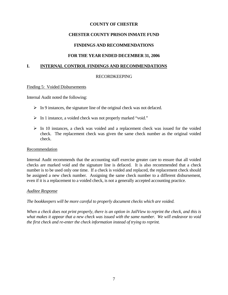# **CHESTER COUNTY PRISON INMATE FUND**

# **FINDINGS AND RECOMMENDATIONS**

## **FOR THE YEAR ENDED DECEMBER 31, 2006**

### **I. INTERNAL CONTROL FINDINGS AND RECOMMENDATIONS**

### RECORDKEEPING

#### Finding 5: Voided Disbursements

Internal Audit noted the following:

- $\triangleright$  In 9 instances, the signature line of the original check was not defaced.
- ¾ In 1 instance, a voided check was not properly marked "void."
- ¾ In 10 instances, a check was voided and a replacement check was issued for the voided check. The replacement check was given the same check number as the original voided check.

#### **Recommendation**

Internal Audit recommends that the accounting staff exercise greater care to ensure that all voided checks are marked void and the signature line is defaced. It is also recommended that a check number is to be used only one time. If a check is voided and replaced, the replacement check should be assigned a new check number. Assigning the same check number to a different disbursement, even if it is a replacement to a voided check, is not a generally accepted accounting practice.

#### *Auditee Response*

*The bookkeepers will be more careful to properly document checks which are voided.* 

*When a check does not print properly, there is an option in JailView to reprint the check, and this is what makes it appear that a new check was issued with the same number. We will endeavor to void the first check and re-enter the check information instead of trying to reprint.*